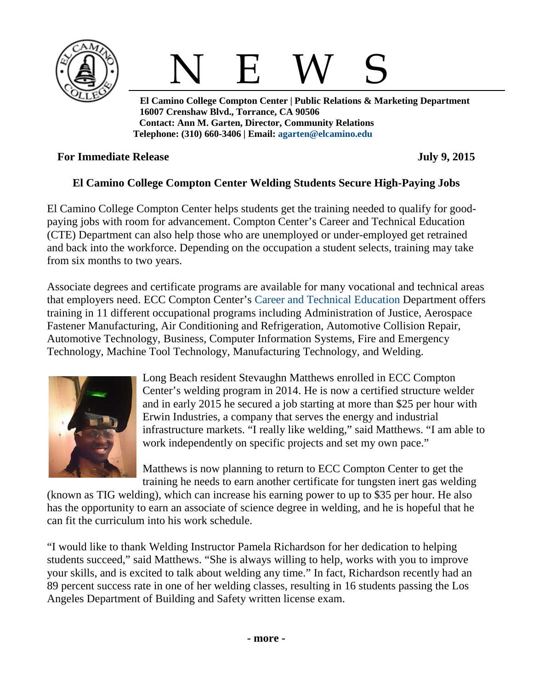



 **El Camino College Compton Center | Public Relations & Marketing Department 16007 Crenshaw Blvd., Torrance, CA 90506 Contact: Ann M. Garten, Director, Community Relations Telephone: (310) 660-3406 | Email: [agarten@elcamino.edu](mailto:agarten@elcamino.edu)** 

## **For Immediate Release July 9, 2015**

## **El Camino College Compton Center Welding Students Secure High-Paying Jobs**

El Camino College Compton Center helps students get the training needed to qualify for goodpaying jobs with room for advancement. Compton Center's Career and Technical Education (CTE) Department can also help those who are unemployed or under-employed get retrained and back into the workforce. Depending on the occupation a student selects, training may take from six months to two years.

Associate degrees and certificate programs are available for many vocational and technical areas that employers need. ECC Compton Center's [Career and Technical Education](http://www.compton.edu/academics/CTE/) Department offers training in 11 different occupational programs including Administration of Justice, Aerospace Fastener Manufacturing, Air Conditioning and Refrigeration, Automotive Collision Repair, Automotive Technology, Business, Computer Information Systems, Fire and Emergency Technology, Machine Tool Technology, Manufacturing Technology, and Welding.



Long Beach resident Stevaughn Matthews enrolled in ECC Compton Center's welding program in 2014. He is now a certified structure welder and in early 2015 he secured a job starting at more than \$25 per hour with Erwin Industries, a company that serves the energy and industrial infrastructure markets. "I really like welding," said Matthews. "I am able to work independently on specific projects and set my own pace."

Matthews is now planning to return to ECC Compton Center to get the training he needs to earn another certificate for tungsten inert gas welding

(known as TIG welding), which can increase his earning power to up to \$35 per hour. He also has the opportunity to earn an associate of science degree in welding, and he is hopeful that he can fit the curriculum into his work schedule.

"I would like to thank Welding Instructor Pamela Richardson for her dedication to helping students succeed," said Matthews. "She is always willing to help, works with you to improve your skills, and is excited to talk about welding any time." In fact, Richardson recently had an 89 percent success rate in one of her welding classes, resulting in 16 students passing the Los Angeles Department of Building and Safety written license exam.